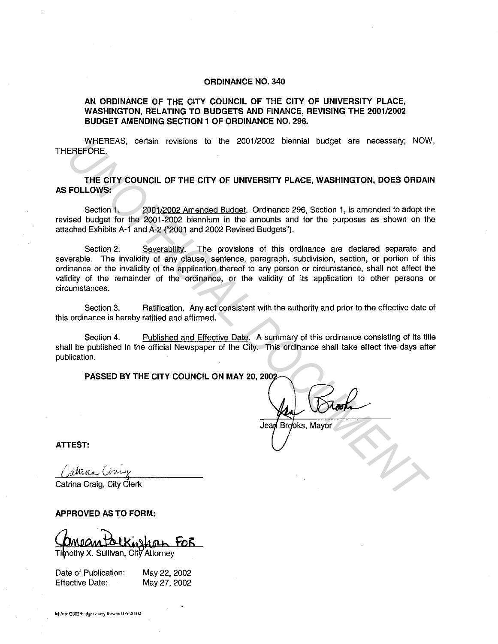## **ORDINANCE NO. 340**

## **AN ORDINANCE OF THE CITY COUNCIL OF THE CITY OF UNIVERSITY PLACE, WASHINGTON, RELATING TO BUDGETS AND FINANCE, REVISING THE 2001/2002 BUDGET AMENDING SECTION 1 OF ORDINANCE NO. 296.**

WHEREAS, certain revisions to the 2001/2002 biennial budget are necessary; NOW, THEREFORE,

**THE CITY COUNCIL OF THE CITY OF UNIVERSITY PLACE, WASHINGTON, DOES ORDAIN AS FOLLOWS:** 

Section 1. 2001/2002 Amended Budget. Ordinance 296, Section 1, is amended to adopt the revised budget for the 2001-2002 biennium in the amounts and for the purposes as shown on the attached Exhibits A-1 and A-2 ("2001 and 2002 Revised Budgets").

Section 2. Severability. The provisions of this ordinance are declared separate and severable. The invalidity of any clause, sentence, paragraph, subdivision, section, or portion of this ordinance or the invalidity of the application thereof to any person or circumstance, shall not affect the validity of the remainder of the ordinance, or the validity of its application to other persons or circumstances. WHEREAS, certain revisions to the 2001/2002 biennal budget are necessary; NOW<br>EREFORE.<br>THE CITY COUNCIL OF THE CITY OF UNIVERSITY PLACE, WASHINGTON, DOES ORDAI<br>FOLLOWS:<br>Section 1. 2001/2002 Amended Budget. Ordinance 296, S

Section 3. Ratification. Any act consistent with the authority and prior to the effective date of this ordinance is hereby ratified and affirmed.

Section 4. Published and Effective Date. A summary of this ordinance consisting of its title shall be published in the official Newspaper of the City. This ordinance shall take effect five days after publication.

**PASSED BY THE CITY COUNCIL ON MAY 20, 2002** 

**ATTEST:** 

Catrina Craig, City Clerk

**APPROVED AS TO FORM:** 

inslann FOR Timothy X. Sullivan, City Attorney

Date of Publication: Effective Date: May22, 2002 May27, 2002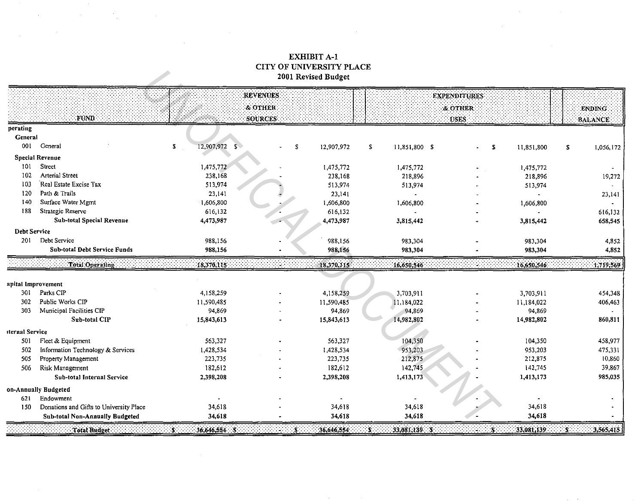## **EXHIBIT A-1** CITY OF UNIVERSITY PLACE 2001 Revised Budget

 $\label{eq:2.1} \mathcal{L}_{\mathcal{A}}(\mathcal{A}) = \mathcal{L}_{\mathcal{A}}(\mathcal{A}) = \mathcal{L}_{\mathcal{A}}(\mathcal{A}) = \mathcal{L}_{\mathcal{A}}(\mathcal{A}) = \mathcal{L}_{\mathcal{A}}(\mathcal{A}) = \mathcal{L}_{\mathcal{A}}(\mathcal{A})$ 

|                     |                                         |                          | <b>REVENUES</b> |            |                        | <b>EXPENDITURES</b> |             |                             |
|---------------------|-----------------------------------------|--------------------------|-----------------|------------|------------------------|---------------------|-------------|-----------------------------|
|                     |                                         |                          | & OTHER         |            |                        | & OTHER             |             | <b>ENDING</b>               |
|                     | <b>FUND</b>                             |                          | <b>SOURCES</b>  |            |                        | <b>USES</b>         |             | <b>BALANCE</b>              |
| perating            |                                         |                          |                 |            |                        |                     |             |                             |
| General             |                                         |                          |                 |            |                        |                     |             |                             |
| 001                 | General                                 | 12,907,972 \$<br>s.      | s.              | 12,907,972 | -S<br>11,851,800 \$    | S                   | 11,851,800  | S<br>1,056,172              |
|                     | <b>Special Revenue</b>                  |                          |                 |            |                        |                     |             |                             |
| 101                 | Street                                  | 1,475,772                |                 | 1,475,772  | 1,475,772              |                     | 1,475,772   |                             |
| 102                 | <b>Arterial Street</b>                  | 238,168                  |                 | 238,168    | 218,896                |                     | 218,896     | 19,272                      |
| 103                 | Real Estate Excise Tax                  | 513,974                  |                 | 513,974    | 513,974                |                     | 513,974     |                             |
| 120                 | Path & Trails                           | 23,141                   |                 | 23,141     |                        |                     |             | 23,141                      |
| 140                 | Surface Water Mgmt                      | 1,606,800                |                 | 1,606,800  | 1,606,800              |                     | 1,606,800   |                             |
| 188                 | Strategic Reserve                       | 616,132                  |                 | 616,132    | $\tilde{\phantom{a}}$  |                     |             | 616,132                     |
|                     | <b>Sub-total Special Revenue</b>        | 4,473,987                |                 | 4,473,987  | 3,815,442              |                     | 3,815,442   | 658,545                     |
| <b>Debt Service</b> |                                         |                          |                 |            |                        |                     |             |                             |
| 201                 | Debt Service                            | 988,156                  |                 | 988,156    | 983,304                |                     | 983,304     | 4,852                       |
|                     | Sub-total Debt Service Funds            | 988,156                  |                 | 988,156    | 983,304                |                     | 983,304     | 4,852                       |
|                     | Total Operating:                        | $-18,370,115$            |                 | 18,370,115 | 16,650,546             |                     | 16,650,546  | 1,719,569                   |
|                     |                                         |                          |                 |            |                        |                     |             |                             |
| apital Improvement  |                                         |                          |                 |            |                        |                     |             |                             |
| 301                 | Parks CIP                               | 4,158,259                |                 | 4,158,259  | 3,703,911              |                     | 3,703,911   | 454,348                     |
| 302                 | Public Works CIP                        | 11,590,485               |                 | 11,590,485 | 11,184,022             |                     | 11,184,022  | 406,463                     |
| 303                 | Municipal Facilities CIP                | 94,869                   |                 | 94,869     | 94,869                 |                     | 94,869      |                             |
|                     | Sub-total CIP                           | 15,843,613               |                 | 15,843,613 | 14,982,802             |                     | 14,982,802  | 860,811                     |
| iternal Service     |                                         |                          |                 |            |                        |                     |             |                             |
| 501                 | Fleet & Equipment                       | 563,327                  |                 | 563,327    | 104,350                |                     | 104,350     | 458,977                     |
| 502                 | Information Technology & Services       | 1,428,534                |                 | 1,428,534  | 953,203                |                     | 953,203     | 475,331                     |
| 505                 | Property Management                     | 223,735                  |                 | 223,735    | 212,875                |                     | 212,875     | 10,860                      |
| 506                 | Risk Management                         | 182,612                  |                 | 182,612    | 142,745                |                     | 142,745     | 39,867                      |
|                     | Sub-total Internal Service              | 2,398,208                |                 | 2,398,208  | 1,413,173              |                     | 1,413,173   | 985,035                     |
|                     | on-Annually Budgeted                    |                          |                 |            |                        |                     |             |                             |
| 621                 | Endowment                               |                          |                 |            |                        |                     |             |                             |
| 150                 | Donations and Gifts to University Place | 34,618                   |                 | 34,618     | 34,618                 |                     | 34,618      |                             |
|                     | Sub-total Non-Annually Budgeted         | 34,618                   |                 | 34,618     | 34,618                 |                     | 34,618      |                             |
|                     | Total Budget                            | $36,646,554$ \$<br>$S$ : | ۰S.             | 36,646,554 | $33,081,139$ S<br>- 51 | 5.                  | 33,081,139. | 3,565,415<br>$\mathbf{S}$ . |

 $\sim 10^{-1}$